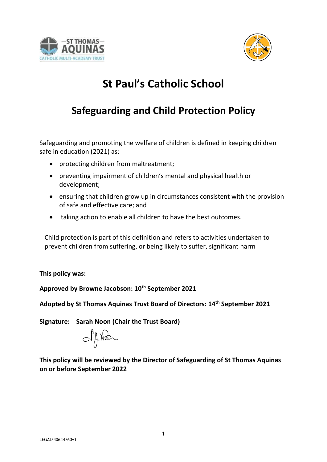



# **St Paul's Catholic School**

# **Safeguarding and Child Protection Policy**

Safeguarding and promoting the welfare of children is defined in keeping children safe in education (2021) as:

- protecting children from maltreatment;
- preventing impairment of children's mental and physical health or development;
- ensuring that children grow up in circumstances consistent with the provision of safe and effective care; and
- taking action to enable all children to have the best outcomes.

Child protection is part of this definition and refers to activities undertaken to prevent children from suffering, or being likely to suffer, significant harm

**This policy was:**

**Approved by Browne Jacobson: 10th September 2021**

**Adopted by St Thomas Aquinas Trust Board of Directors: 14 th September 2021**

**Signature: Sarah Noon (Chair the Trust Board)**

aftion

**This policy will be reviewed by the Director of Safeguarding of St Thomas Aquinas on or before September 2022**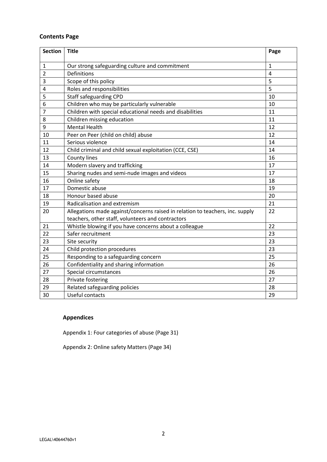## **Contents Page**

| <b>Section</b> | <b>Title</b>                                                                                                                       | Page         |
|----------------|------------------------------------------------------------------------------------------------------------------------------------|--------------|
| $\mathbf{1}$   | Our strong safeguarding culture and commitment                                                                                     | $\mathbf{1}$ |
| $\overline{2}$ | <b>Definitions</b>                                                                                                                 | 4            |
| 3              | Scope of this policy                                                                                                               | 5            |
| 4              | Roles and responsibilities                                                                                                         | 5            |
| 5              | <b>Staff safeguarding CPD</b>                                                                                                      | 10           |
| 6              | Children who may be particularly vulnerable                                                                                        | 10           |
| 7              | Children with special educational needs and disabilities                                                                           | 11           |
| 8              | Children missing education                                                                                                         | 11           |
| 9              | <b>Mental Health</b>                                                                                                               | 12           |
| 10             | Peer on Peer (child on child) abuse                                                                                                | 12           |
| 11             | Serious violence                                                                                                                   | 14           |
| 12             | Child criminal and child sexual exploitation (CCE, CSE)                                                                            | 14           |
| 13             | County lines                                                                                                                       | 16           |
| 14             | Modern slavery and trafficking                                                                                                     | 17           |
| 15             | Sharing nudes and semi-nude images and videos                                                                                      | 17           |
| 16             | Online safety                                                                                                                      | 18           |
| 17             | Domestic abuse                                                                                                                     | 19           |
| 18             | Honour based abuse                                                                                                                 | 20           |
| 19             | Radicalisation and extremism                                                                                                       | 21           |
| 20             | Allegations made against/concerns raised in relation to teachers, inc. supply<br>teachers, other staff, volunteers and contractors | 22           |
| 21             | Whistle blowing if you have concerns about a colleague                                                                             | 22           |
| 22             | Safer recruitment                                                                                                                  | 23           |
| 23             | Site security                                                                                                                      | 23           |
| 24             | Child protection procedures                                                                                                        | 23           |
| 25             | Responding to a safeguarding concern                                                                                               | 25           |
| 26             | Confidentiality and sharing information                                                                                            | 26           |
| 27             | Special circumstances                                                                                                              | 26           |
| 28             | Private fostering                                                                                                                  | 27           |
| 29             | Related safeguarding policies                                                                                                      | 28           |
| 30             | Useful contacts                                                                                                                    | 29           |

# **Appendices**

Appendix 1: Four categories of abuse (Page 31)

Appendix 2: Online safety Matters (Page 34)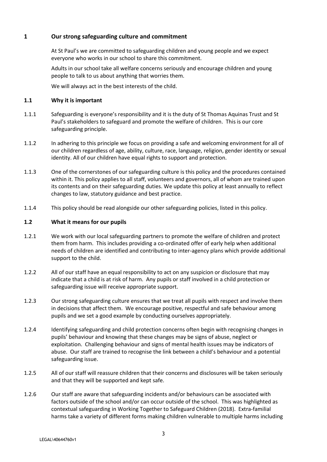## **1 Our strong safeguarding culture and commitment**

At St Paul's we are committed to safeguarding children and young people and we expect everyone who works in our school to share this commitment.

Adults in our school take all welfare concerns seriously and encourage children and young people to talk to us about anything that worries them.

We will always act in the best interests of the child.

#### **1.1 Why it is important**

- 1.1.1 Safeguarding is everyone's responsibility and it is the duty of St Thomas Aquinas Trust and St Paul's stakeholders to safeguard and promote the welfare of children. This is our core safeguarding principle.
- 1.1.2 In adhering to this principle we focus on providing a safe and welcoming environment for all of our children regardless of age, ability, culture, race, language, religion, gender identity or sexual identity. All of our children have equal rights to support and protection.
- 1.1.3 One of the cornerstones of our safeguarding culture is this policy and the procedures contained within it. This policy applies to all staff, volunteers and governors, all of whom are trained upon its contents and on their safeguarding duties. We update this policy at least annually to reflect changes to law, statutory guidance and best practice.
- 1.1.4 This policy should be read alongside our other safeguarding policies, listed in this policy.

#### **1.2 What it means for our pupils**

- 1.2.1 We work with our local safeguarding partners to promote the welfare of children and protect them from harm. This includes providing a co-ordinated offer of early help when additional needs of children are identified and contributing to inter-agency plans which provide additional support to the child.
- 1.2.2 All of our staff have an equal responsibility to act on any suspicion or disclosure that may indicate that a child is at risk of harm. Any pupils or staff involved in a child protection or safeguarding issue will receive appropriate support.
- 1.2.3 Our strong safeguarding culture ensures that we treat all pupils with respect and involve them in decisions that affect them. We encourage positive, respectful and safe behaviour among pupils and we set a good example by conducting ourselves appropriately.
- 1.2.4 Identifying safeguarding and child protection concerns often begin with recognising changes in pupils' behaviour and knowing that these changes may be signs of abuse, neglect or exploitation. Challenging behaviour and signs of mental health issues may be indicators of abuse. Our staff are trained to recognise the link between a child's behaviour and a potential safeguarding issue.
- 1.2.5 All of our staff will reassure children that their concerns and disclosures will be taken seriously and that they will be supported and kept safe.
- 1.2.6 Our staff are aware that safeguarding incidents and/or behaviours can be associated with factors outside of the school and/or can occur outside of the school. This was highlighted as contextual safeguarding in Working Together to Safeguard Children (2018). Extra-familial harms take a variety of different forms making children vulnerable to multiple harms including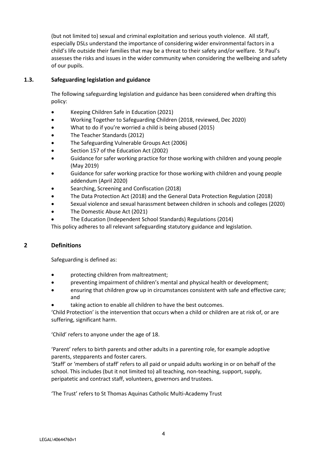(but not limited to) sexual and criminal exploitation and serious youth violence. All staff, especially DSLs understand the importance of considering wider environmental factors in a child's life outside their families that may be a threat to their safety and/or welfare. St Paul's assesses the risks and issues in the wider community when considering the wellbeing and safety of our pupils.

## **1.3. Safeguarding legislation and guidance**

The following safeguarding legislation and guidance has been considered when drafting this policy:

- Keeping Children Safe in Education (2021)
- Working Together to Safeguarding Children (2018, reviewed, Dec 2020)
- What to do if you're worried a child is being abused (2015)
- The Teacher Standards (2012)
- The Safeguarding Vulnerable Groups Act (2006)
- Section 157 of the Education Act (2002)
- Guidance for safer working practice for those working with children and young people (May 2019)
- Guidance for safer working practice for those working with children and young people addendum (April 2020)
- Searching, Screening and Confiscation (2018)
- The Data Protection Act (2018) and the General Data Protection Regulation (2018)
- Sexual violence and sexual harassment between children in schools and colleges (2020)
- The Domestic Abuse Act (2021)
- The Education (Independent School Standards) Regulations (2014)

This policy adheres to all relevant safeguarding statutory guidance and legislation.

#### **2 Definitions**

Safeguarding is defined as:

- protecting children from maltreatment;
- preventing impairment of children's mental and physical health or development;
- ensuring that children grow up in circumstances consistent with safe and effective care; and
- taking action to enable all children to have the best outcomes.

'Child Protection' is the intervention that occurs when a child or children are at risk of, or are suffering, significant harm.

'Child' refers to anyone under the age of 18.

'Parent' refers to birth parents and other adults in a parenting role, for example adoptive parents, stepparents and foster carers.

'Staff' or 'members of staff' refers to all paid or unpaid adults working in or on behalf of the school. This includes (but it not limited to) all teaching, non-teaching, support, supply, peripatetic and contract staff, volunteers, governors and trustees.

'The Trust' refers to St Thomas Aquinas Catholic Multi-Academy Trust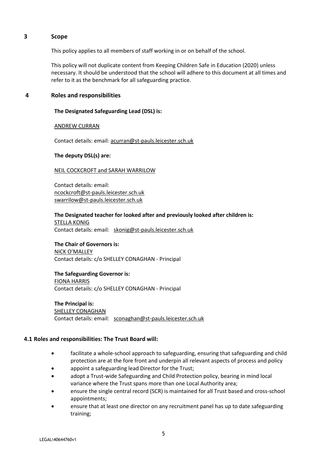#### **3 Scope**

This policy applies to all members of staff working in or on behalf of the school.

This policy will not duplicate content from Keeping Children Safe in Education (2020) unless necessary. It should be understood that the school will adhere to this document at all times and refer to it as the benchmark for all safeguarding practice.

#### **4 Roles and responsibilities**

#### **The Designated Safeguarding Lead (DSL) is:**

#### ANDREW CURRAN

Contact details: email: [acurran@st-pauls.leicester.sch.uk](mailto:acurran@st-pauls.leicester.sch.uk)

#### **The deputy DSL(s) are:**

#### NEIL COCKCROFT and SARAH WARRILOW

Contact details: email: [ncockcroft@st-pauls.leicester.sch.uk](mailto:ncockcroft@st-pauls.leicester.sch.uk)  swarrilow@st-pauls.leicester.sch.uk

**The Designated teacher for looked after and previously looked after children is: STELLA KONIG** Contact details: email: skonig@st-pauls.leicester.sch.uk

#### **The Chair of Governors is:** NICK O'MALLEY

Contact details: c/o SHELLEY CONAGHAN - Principal

## **The Safeguarding Governor is:**

FIONA HARRIS Contact details: c/o SHELLEY CONAGHAN - Principal

**The Principal is:** SHELLEY CONAGHAN Contact details: email: [sconaghan@st-pauls.leicester.sch.uk](mailto:sconaghan@st-pauls.leicester.sch.uk)

## **4.1 Roles and responsibilities: The Trust Board will:**

- facilitate a whole-school approach to safeguarding, ensuring that safeguarding and child protection are at the fore front and underpin all relevant aspects of process and policy
- appoint a safeguarding lead Director for the Trust;
- adopt a Trust-wide Safeguarding and Child Protection policy, bearing in mind local variance where the Trust spans more than one Local Authority area;
- ensure the single central record (SCR) is maintained for all Trust based and cross-school appointments;
- ensure that at least one director on any recruitment panel has up to date safeguarding training;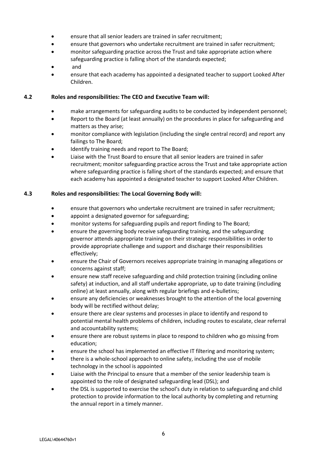- ensure that all senior leaders are trained in safer recruitment;
- ensure that governors who undertake recruitment are trained in safer recruitment;
- monitor safeguarding practice across the Trust and take appropriate action where safeguarding practice is falling short of the standards expected;
- and
- ensure that each academy has appointed a designated teacher to support Looked After Children.

## **4.2 Roles and responsibilities: The CEO and Executive Team will:**

- make arrangements for safeguarding audits to be conducted by independent personnel;
- Report to the Board (at least annually) on the procedures in place for safeguarding and matters as they arise;
- monitor compliance with legislation (including the single central record) and report any failings to The Board;
- Identify training needs and report to The Board;
- Liaise with the Trust Board to ensure that all senior leaders are trained in safer recruitment; monitor safeguarding practice across the Trust and take appropriate action where safeguarding practice is falling short of the standards expected; and ensure that each academy has appointed a designated teacher to support Looked After Children.

## **4.3 Roles and responsibilities: The Local Governing Body will:**

- ensure that governors who undertake recruitment are trained in safer recruitment;
- appoint a designated governor for safeguarding;
- monitor systems for safeguarding pupils and report finding to The Board;
- ensure the governing body receive safeguarding training, and the safeguarding governor attends appropriate training on their strategic responsibilities in order to provide appropriate challenge and support and discharge their responsibilities effectively;
- ensure the Chair of Governors receives appropriate training in managing allegations or concerns against staff;
- ensure new staff receive safeguarding and child protection training (including online safety) at induction, and all staff undertake appropriate, up to date training (including online) at least annually, along with regular briefings and e-bulletins;
- ensure any deficiencies or weaknesses brought to the attention of the local governing body will be rectified without delay;
- ensure there are clear systems and processes in place to identify and respond to potential mental health problems of children, including routes to escalate, clear referral and accountability systems;
- ensure there are robust systems in place to respond to children who go missing from education;
- ensure the school has implemented an effective IT filtering and monitoring system;
- there is a whole-school approach to online safety, including the use of mobile technology in the school is appointed
- Liaise with the Principal to ensure that a member of the senior leadership team is appointed to the role of designated safeguarding lead (DSL); and
- the DSL is supported to exercise the school's duty in relation to safeguarding and child protection to provide information to the local authority by completing and returning the annual report in a timely manner.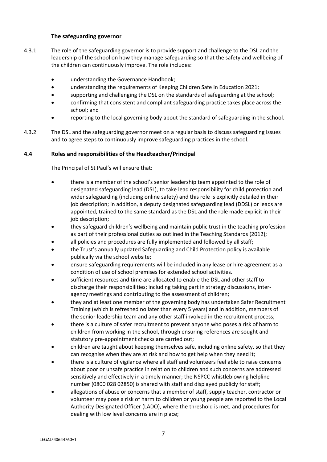#### **The safeguarding governor**

- 4.3.1 The role of the safeguarding governor is to provide support and challenge to the DSL and the leadership of the school on how they manage safeguarding so that the safety and wellbeing of the children can continuously improve. The role includes:
	- understanding the Governance Handbook;
	- understanding the requirements of Keeping Children Safe in Education 2021;
	- supporting and challenging the DSL on the standards of safeguarding at the school;
	- confirming that consistent and compliant safeguarding practice takes place across the school; and
	- reporting to the local governing body about the standard of safeguarding in the school.
- 4.3.2 The DSL and the safeguarding governor meet on a regular basis to discuss safeguarding issues and to agree steps to continuously improve safeguarding practices in the school.

#### **4.4 Roles and responsibilities of the Headteacher/Principal**

The Principal of St Paul's will ensure that:

- there is a member of the school's senior leadership team appointed to the role of designated safeguarding lead (DSL), to take lead responsibility for child protection and wider safeguarding (including online safety) and this role is explicitly detailed in their job description; in addition, a deputy designated safeguarding lead (DDSL) or leads are appointed, trained to the same standard as the DSL and the role made explicit in their job description;
- they safeguard children's wellbeing and maintain public trust in the teaching profession as part of their professional duties as outlined in the Teaching Standards (2012);
- all policies and procedures are fully implemented and followed by all staff;
- the Trust's annually updated Safeguarding and Child Protection policy is available publically via the school website;
- ensure safeguarding requirements will be included in any lease or hire agreement as a condition of use of school premises for extended school activities.
- sufficient resources and time are allocated to enable the DSL and other staff to discharge their responsibilities; including taking part in strategy discussions, interagency meetings and contributing to the assessment of children;
- they and at least one member of the governing body has undertaken Safer Recruitment Training (which is refreshed no later than every 5 years) and in addition, members of the senior leadership team and any other staff involved in the recruitment process;
- there is a culture of safer recruitment to prevent anyone who poses a risk of harm to children from working in the school, through ensuring references are sought and statutory pre-appointment checks are carried out;
- children are taught about keeping themselves safe, including online safety, so that they can recognise when they are at risk and how to get help when they need it;
- there is a culture of vigilance where all staff and volunteers feel able to raise concerns about poor or unsafe practice in relation to children and such concerns are addressed sensitively and effectively in a timely manner; the NSPCC whistleblowing helpline number (0800 028 02850) is shared with staff and displayed publicly for staff;
- allegations of abuse or concerns that a member of staff, supply teacher, contractor or volunteer may pose a risk of harm to children or young people are reported to the Local Authority Designated Officer (LADO), where the threshold is met, and procedures for dealing with low level concerns are in place;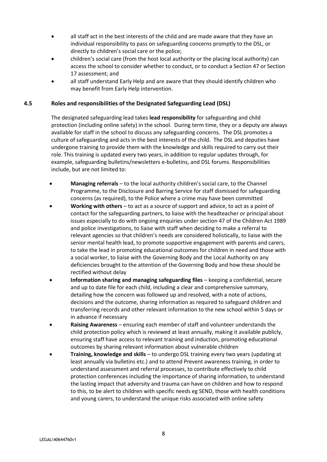- all staff act in the best interests of the child and are made aware that they have an individual responsibility to pass on safeguarding concerns promptly to the DSL, or directly to children's social care or the police;
- children's social care (from the host local authority or the placing local authority) can access the school to consider whether to conduct, or to conduct a Section 47 or Section 17 assessment; and
- all staff understand Early Help and are aware that they should identify children who may benefit from Early Help intervention.

#### **4.5 Roles and responsibilities of the Designated Safeguarding Lead (DSL)**

The designated safeguarding lead takes **lead responsibility** for safeguarding and child protection (including online safety) in the school. During term time, they or a deputy are always available for staff in the school to discuss any safeguarding concerns. The DSL promotes a culture of safeguarding and acts in the best interests of the child. The DSL and deputies have undergone training to provide them with the knowledge and skills required to carry out their role. This training is updated every two years, in addition to regular updates through, for example, safeguarding bulletins/newsletters e-bulletins, and DSL forums. Responsibilities include, but are not limited to:

- **Managing referrals** to the local authority children's social care, to the Channel Programme, to the Disclosure and Barring Service for staff dismissed for safeguarding concerns (as required), to the Police where a crime may have been committed
- **Working with others** to act as a source of support and advice, to act as a point of contact for the safeguarding partners, to liaise with the headteacher or principal about issues especially to do with ongoing enquiries under section 47 of the Children Act 1989 and police investigations, to liaise with staff when deciding to make a referral to relevant agencies so that children's needs are considered holistically, to liaise with the senior mental health lead, to promote supportive engagement with parents and carers, to take the lead in promoting educational outcomes for children in need and those with a social worker, to liaise with the Governing Body and the Local Authority on any deficiencies brought to the attention of the Governing Body and how these should be rectified without delay
- **Information sharing and managing safeguarding files** keeping a confidential, secure and up to date file for each child, including a clear and comprehensive summary, detailing how the concern was followed up and resolved, with a note of actions, decisions and the outcome, sharing information as required to safeguard children and transferring records and other relevant information to the new school within 5 days or in advance if necessary
- **Raising Awareness** ensuring each member of staff and volunteer understands the child protection policy which is reviewed at least annually, making it available publicly, ensuring staff have access to relevant training and induction, promoting educational outcomes by sharing relevant information about vulnerable children
- **Training, knowledge and skills** to undergo DSL training every two years (updating at least annually via bulletins etc.) and to attend Prevent awareness training, in order to understand assessment and referral processes, to contribute effectively to child protection conferences including the importance of sharing information, to understand the lasting impact that adversity and trauma can have on children and how to respond to this, to be alert to children with specific needs eg SEND, those with health conditions and young carers, to understand the unique risks associated with online safety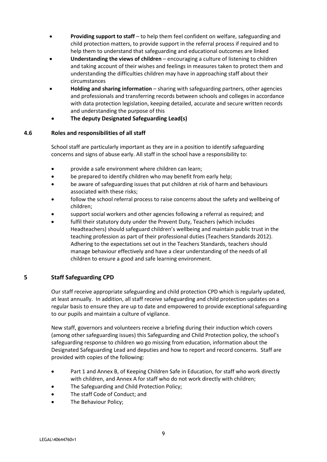- **Providing support to staff** to help them feel confident on welfare, safeguarding and child protection matters, to provide support in the referral process if required and to help them to understand that safeguarding and educational outcomes are linked
- **Understanding the views of children** encouraging a culture of listening to children and taking account of their wishes and feelings in measures taken to protect them and understanding the difficulties children may have in approaching staff about their circumstances
- **Holding and sharing information** sharing with safeguarding partners, other agencies and professionals and transferring records between schools and colleges in accordance with data protection legislation, keeping detailed, accurate and secure written records and understanding the purpose of this
- **The deputy Designated Safeguarding Lead(s)**

#### **4.6 Roles and responsibilities of all staff**

School staff are particularly important as they are in a position to identify safeguarding concerns and signs of abuse early. All staff in the school have a responsibility to:

- provide a safe environment where children can learn;
- be prepared to identify children who may benefit from early help;
- be aware of safeguarding issues that put children at risk of harm and behaviours associated with these risks;
- follow the school referral process to raise concerns about the safety and wellbeing of children;
- support social workers and other agencies following a referral as required; and
- fulfil their statutory duty under the Prevent Duty, Teachers (which includes Headteachers) should safeguard children's wellbeing and maintain public trust in the teaching profession as part of their professional duties (Teachers Standards 2012). Adhering to the expectations set out in the Teachers Standards, teachers should manage behaviour effectively and have a clear understanding of the needs of all children to ensure a good and safe learning environment.

## **5 Staff Safeguarding CPD**

Our staff receive appropriate safeguarding and child protection CPD which is regularly updated, at least annually. In addition, all staff receive safeguarding and child protection updates on a regular basis to ensure they are up to date and empowered to provide exceptional safeguarding to our pupils and maintain a culture of vigilance.

New staff, governors and volunteers receive a briefing during their induction which covers (among other safeguarding issues) this Safeguarding and Child Protection policy, the school's safeguarding response to children wo go missing from education, information about the Designated Safeguarding Lead and deputies and how to report and record concerns. Staff are provided with copies of the following:

- Part 1 and Annex B, of Keeping Children Safe in Education, for staff who work directly with children, and Annex A for staff who do not work directly with children;
- The Safeguarding and Child Protection Policy;
- The staff Code of Conduct; and
- The Behaviour Policy;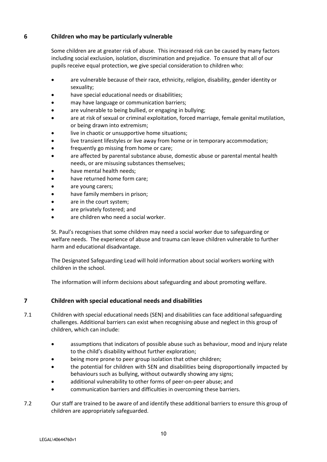## **6 Children who may be particularly vulnerable**

Some children are at greater risk of abuse. This increased risk can be caused by many factors including social exclusion, isolation, discrimination and prejudice. To ensure that all of our pupils receive equal protection, we give special consideration to children who:

- are vulnerable because of their race, ethnicity, religion, disability, gender identity or sexuality;
- have special educational needs or disabilities;
- may have language or communication barriers;
- are vulnerable to being bullied, or engaging in bullying;
- are at risk of sexual or criminal exploitation, forced marriage, female genital mutilation, or being drawn into extremism;
- live in chaotic or unsupportive home situations;
- live transient lifestyles or live away from home or in temporary accommodation;
- frequently go missing from home or care;
- are affected by parental substance abuse, domestic abuse or parental mental health needs, or are misusing substances themselves;
- have mental health needs;
- have returned home form care;
- are young carers;
- have family members in prison;
- are in the court system;
- are privately fostered; and
- are children who need a social worker.

St. Paul's recognises that some children may need a social worker due to safeguarding or welfare needs. The experience of abuse and trauma can leave children vulnerable to further harm and educational disadvantage.

The Designated Safeguarding Lead will hold information about social workers working with children in the school.

The information will inform decisions about safeguarding and about promoting welfare.

## **7 Children with special educational needs and disabilities**

- 7.1 Children with special educational needs (SEN) and disabilities can face additional safeguarding challenges. Additional barriers can exist when recognising abuse and neglect in this group of children, which can include:
	- assumptions that indicators of possible abuse such as behaviour, mood and injury relate to the child's disability without further exploration;
	- being more prone to peer group isolation that other children;
	- the potential for children with SEN and disabilities being disproportionally impacted by behaviours such as bullying, without outwardly showing any signs;
	- additional vulnerability to other forms of peer-on-peer abuse; and
	- communication barriers and difficulties in overcoming these barriers.
- 7.2 Our staff are trained to be aware of and identify these additional barriers to ensure this group of children are appropriately safeguarded.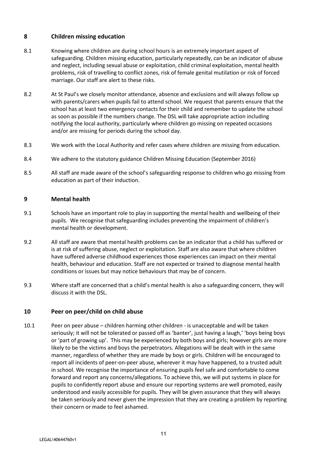## **8 Children missing education**

- 8.1 Knowing where children are during school hours is an extremely important aspect of safeguarding. Children missing education, particularly repeatedly, can be an indicator of abuse and neglect, including sexual abuse or exploitation, child criminal exploitation, mental health problems, risk of travelling to conflict zones, risk of female genital mutilation or risk of forced marriage. Our staff are alert to these risks.
- 8.2 At St Paul's we closely monitor attendance, absence and exclusions and will always follow up with parents/carers when pupils fail to attend school. We request that parents ensure that the school has at least two emergency contacts for their child and remember to update the school as soon as possible if the numbers change. The DSL will take appropriate action including notifying the local authority, particularly where children go missing on repeated occasions and/or are missing for periods during the school day.
- 8.3 We work with the Local Authority and refer cases where children are missing from education.
- 8.4 We adhere to the statutory guidance Children Missing Education (September 2016)
- 8.5 All staff are made aware of the school's safeguarding response to children who go missing from education as part of their induction.

## **9 Mental health**

- 9.1 Schools have an important role to play in supporting the mental health and wellbeing of their pupils. We recognise that safeguarding includes preventing the impairment of children's mental health or development.
- 9.2 All staff are aware that mental health problems can be an indicator that a child has suffered or is at risk of suffering abuse, neglect or exploitation. Staff are also aware that where children have suffered adverse childhood experiences those experiences can impact on their mental health, behaviour and education. Staff are not expected or trained to diagnose mental health conditions or issues but may notice behaviours that may be of concern.
- 9.3 Where staff are concerned that a child's mental health is also a safeguarding concern, they will discuss it with the DSL.

#### **10 Peer on peer/child on child abuse**

10.1 Peer on peer abuse – children harming other children - is unacceptable and will be taken seriously; it will not be tolerated or passed off as 'banter', just having a laugh,' 'boys being boys or 'part of growing up'. This may be experienced by both boys and girls; however girls are more likely to be the victims and boys the perpetrators. Allegations will be dealt with in the same manner, regardless of whether they are made by boys or girls. Children will be encouraged to report all incidents of peer-on-peer abuse, wherever it may have happened, to a trusted adult in school. We recognise the importance of ensuring pupils feel safe and comfortable to come forward and report any concerns/allegations. To achieve this, we will put systems in place for pupils to confidently report abuse and ensure our reporting systems are well promoted, easily understood and easily accessible for pupils. They will be given assurance that they will always be taken seriously and never given the impression that they are creating a problem by reporting their concern or made to feel ashamed.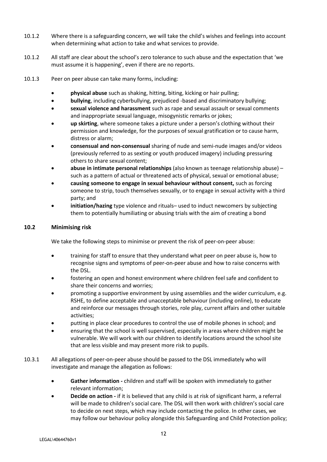- 10.1.2 Where there is a safeguarding concern, we will take the child's wishes and feelings into account when determining what action to take and what services to provide.
- 10.1.2 All staff are clear about the school's zero tolerance to such abuse and the expectation that 'we must assume it is happening', even if there are no reports.
- 10.1.3 Peer on peer abuse can take many forms, including:
	- **physical abuse** such as shaking, hitting, biting, kicking or hair pulling;
	- **bullying**, including cyberbullying, prejudiced -based and discriminatory bullying;
	- **sexual violence and harassment** such as rape and sexual assault or sexual comments and inappropriate sexual language, misogynistic remarks or jokes;
	- **up skirting**, where someone takes a picture under a person's clothing without their permission and knowledge, for the purposes of sexual gratification or to cause harm, distress or alarm;
	- **consensual and non-consensual** sharing of nude and semi-nude images and/or videos (previously referred to as sexting or youth produced imagery) including pressuring others to share sexual content;
	- **abuse in intimate personal relationships** (also known as teenage relationship abuse) such as a pattern of actual or threatened acts of physical, sexual or emotional abuse;
	- **causing someone to engage in sexual behaviour without consent,** such as forcing someone to strip, touch themselves sexually, or to engage in sexual activity with a third party; and
	- **initiation/hazing** type violence and rituals– used to induct newcomers by subjecting them to potentially humiliating or abusing trials with the aim of creating a bond

#### **10.2 Minimising risk**

We take the following steps to minimise or prevent the risk of peer-on-peer abuse:

- training for staff to ensure that they understand what peer on peer abuse is, how to recognise signs and symptoms of peer-on-peer abuse and how to raise concerns with the DSL.
- fostering an open and honest environment where children feel safe and confident to share their concerns and worries;
- promoting a supportive environment by using assemblies and the wider curriculum, e.g. RSHE, to define acceptable and unacceptable behaviour (including online), to educate and reinforce our messages through stories, role play, current affairs and other suitable activities;
- putting in place clear procedures to control the use of mobile phones in school; and
- ensuring that the school is well supervised, especially in areas where children might be vulnerable. We will work with our children to identify locations around the school site that are less visible and may present more risk to pupils.
- 10.3.1 All allegations of peer-on-peer abuse should be passed to the DSL immediately who will investigate and manage the allegation as follows:
	- **Gather information -** children and staff will be spoken with immediately to gather relevant information;
	- **Decide on action -** if it is believed that any child is at risk of significant harm, a referral will be made to children's social care. The DSL will then work with children's social care to decide on next steps, which may include contacting the police. In other cases, we may follow our behaviour policy alongside this Safeguarding and Child Protection policy;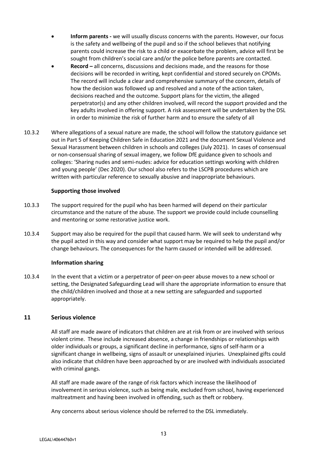- **Inform parents -** we will usually discuss concerns with the parents. However, our focus is the safety and wellbeing of the pupil and so if the school believes that notifying parents could increase the risk to a child or exacerbate the problem, advice will first be sought from children's social care and/or the police before parents are contacted.
- **Record –** all concerns, discussions and decisions made, and the reasons for those decisions will be recorded in writing, kept confidential and stored securely on CPOMs. The record will include a clear and comprehensive summary of the concern, details of how the decision was followed up and resolved and a note of the action taken, decisions reached and the outcome. Support plans for the victim, the alleged perpetrator(s) and any other children involved, will record the support provided and the key adults involved in offering support. A risk assessment will be undertaken by the DSL in order to minimize the risk of further harm and to ensure the safety of all
- 10.3.2 Where allegations of a sexual nature are made, the school will follow the statutory guidance set out in Part 5 of Keeping Children Safe in Education 2021 and the document Sexual Violence and Sexual Harassment between children in schools and colleges (July 2021). In cases of consensual or non-consensual sharing of sexual imagery, we follow DfE guidance given to schools and colleges: 'Sharing nudes and semi-nudes: advice for education settings working with children and young people' (Dec 2020). Our school also refers to the LSCPB procedures which are written with particular reference to sexually abusive and inappropriate behaviours.

#### **Supporting those involved**

- 10.3.3 The support required for the pupil who has been harmed will depend on their particular circumstance and the nature of the abuse. The support we provide could include counselling and mentoring or some restorative justice work.
- 10.3.4 Support may also be required for the pupil that caused harm. We will seek to understand why the pupil acted in this way and consider what support may be required to help the pupil and/or change behaviours. The consequences for the harm caused or intended will be addressed.

#### **Information sharing**

10.3.4 In the event that a victim or a perpetrator of peer-on-peer abuse moves to a new school or setting, the Designated Safeguarding Lead will share the appropriate information to ensure that the child/children involved and those at a new setting are safeguarded and supported appropriately.

#### **11 Serious violence**

All staff are made aware of indicators that children are at risk from or are involved with serious violent crime. These include increased absence, a change in friendships or relationships with older individuals or groups, a significant decline in performance, signs of self-harm or a significant change in wellbeing, signs of assault or unexplained injuries. Unexplained gifts could also indicate that children have been approached by or are involved with individuals associated with criminal gangs.

All staff are made aware of the range of risk factors which increase the likelihood of involvement in serious violence, such as being male, excluded from school, having experienced maltreatment and having been involved in offending, such as theft or robbery.

Any concerns about serious violence should be referred to the DSL immediately.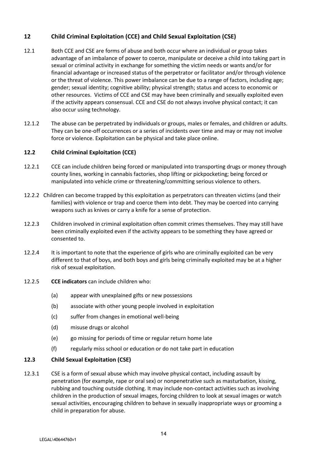## **12 Child Criminal Exploitation (CCE) and Child Sexual Exploitation (CSE)**

- 12.1 Both CCE and CSE are forms of abuse and both occur where an individual or group takes advantage of an imbalance of power to coerce, manipulate or deceive a child into taking part in sexual or criminal activity in exchange for something the victim needs or wants and/or for financial advantage or increased status of the perpetrator or facilitator and/or through violence or the threat of violence. This power imbalance can be due to a range of factors, including age; gender; sexual identity; cognitive ability; physical strength; status and access to economic or other resources. Victims of CCE and CSE may have been criminally and sexually exploited even if the activity appears consensual. CCE and CSE do not always involve physical contact; it can also occur using technology.
- 12.1.2 The abuse can be perpetrated by individuals or groups, males or females, and children or adults. They can be one-off occurrences or a series of incidents over time and may or may not involve force or violence. Exploitation can be physical and take place online.

## **12.2 Child Criminal Exploitation (CCE)**

- 12.2.1 CCE can include children being forced or manipulated into transporting drugs or money through county lines, working in cannabis factories, shop lifting or pickpocketing; being forced or manipulated into vehicle crime or threatening/committing serious violence to others.
- 12.2.2 Children can become trapped by this exploitation as perpetrators can threaten victims (and their families) with violence or trap and coerce them into debt. They may be coerced into carrying weapons such as knives or carry a knife for a sense of protection.
- 12.2.3 Children involved in criminal exploitation often commit crimes themselves. They may still have been criminally exploited even if the activity appears to be something they have agreed or consented to.
- 12.2.4 It is important to note that the experience of girls who are criminally exploited can be very different to that of boys, and both boys and girls being criminally exploited may be at a higher risk of sexual exploitation.
- 12.2.5 **CCE indicators** can include children who:
	- (a) appear with unexplained gifts or new possessions
	- (b) associate with other young people involved in exploitation
	- (c) suffer from changes in emotional well-being
	- (d) misuse drugs or alcohol
	- (e) go missing for periods of time or regular return home late
	- (f) regularly miss school or education or do not take part in education

## **12.3 Child Sexual Exploitation (CSE)**

12.3.1 CSE is a form of sexual abuse which may involve physical contact, including assault by penetration (for example, rape or oral sex) or nonpenetrative such as masturbation, kissing, rubbing and touching outside clothing. It may include non-contact activities such as involving children in the production of sexual images, forcing children to look at sexual images or watch sexual activities, encouraging children to behave in sexually inappropriate ways or grooming a child in preparation for abuse.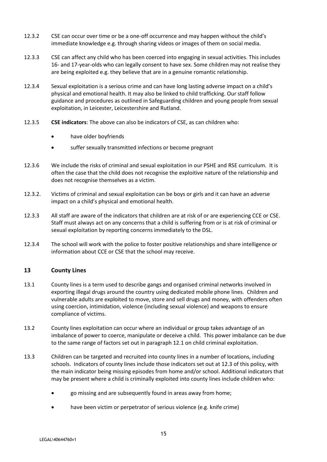- 12.3.2 CSE can occur over time or be a one-off occurrence and may happen without the child's immediate knowledge e.g. through sharing videos or images of them on social media.
- 12.3.3 CSE can affect any child who has been coerced into engaging in sexual activities. This includes 16- and 17-year-olds who can legally consent to have sex. Some children may not realise they are being exploited e.g. they believe that are in a genuine romantic relationship.
- 12.3.4 Sexual exploitation is a serious crime and can have long lasting adverse impact on a child's physical and emotional health. It may also be linked to child trafficking. Our staff follow guidance and procedures as outlined in Safeguarding children and young people from sexual exploitation, in Leicester, Leicestershire and Rutland.
- 12.3.5 **CSE indicators**: The above can also be indicators of CSE, as can children who:
	- have older boyfriends
	- suffer sexually transmitted infections or become pregnant
- 12.3.6 We include the risks of criminal and sexual exploitation in our PSHE and RSE curriculum. It is often the case that the child does not recognise the exploitive nature of the relationship and does not recognise themselves as a victim.
- 12.3.2. Victims of criminal and sexual exploitation can be boys or girls and it can have an adverse impact on a child's physical and emotional health.
- 12.3.3 All staff are aware of the indicators that children are at risk of or are experiencing CCE or CSE. Staff must always act on any concerns that a child is suffering from or is at risk of criminal or sexual exploitation by reporting concerns immediately to the DSL.
- 12.3.4 The school will work with the police to foster positive relationships and share intelligence or information about CCE or CSE that the school may receive.

## **13 County Lines**

- 13.1 County lines is a term used to describe gangs and organised criminal networks involved in exporting illegal drugs around the country using dedicated mobile phone lines. Children and vulnerable adults are exploited to move, store and sell drugs and money, with offenders often using coercion, intimidation, violence (including sexual violence) and weapons to ensure compliance of victims.
- 13.2 County lines exploitation can occur where an individual or group takes advantage of an imbalance of power to coerce, manipulate or deceive a child. This power imbalance can be due to the same range of factors set out in paragraph 12.1 on child criminal exploitation.
- 13.3 Children can be targeted and recruited into county lines in a number of locations, including schools. Indicators of county lines include those indicators set out at 12.3 of this policy, with the main indicator being missing episodes from home and/or school. Additional indicators that may be present where a child is criminally exploited into county lines include children who:
	- go missing and are subsequently found in areas away from home;
	- have been victim or perpetrator of serious violence (e.g. knife crime)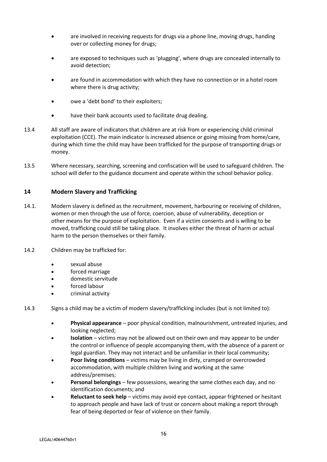- are involved in receiving requests for drugs via a phone line, moving drugs, handing over or collecting money for drugs;
- are exposed to techniques such as 'plugging', where drugs are concealed internally to avoid detection;
- are found in accommodation with which they have no connection or in a hotel room where there is drug activity;
- owe a 'debt bond' to their exploiters;
- have their bank accounts used to facilitate drug dealing.
- 13.4 All staff are aware of indicators that children are at risk from or experiencing child criminal exploitation (CCE). The main indicator is increased absence or going missing from home/care, during which time the child may have been trafficked for the purpose of transporting drugs or money.
- 13.5 Where necessary, searching, screening and confiscation will be used to safeguard children. The school will defer to the guidance document and operate within the school behavior policy.

#### **14 Modern Slavery and Trafficking**

- 14.1. Modern slavery is defined as the recruitment, movement, harbouring or receiving of children, women or men through the use of force, coercion, abuse of vulnerability, deception or other means for the purpose of exploitation. Even if a victim consents and is willing to be moved, trafficking could still be taking place. It involves either the threat of harm or actual harm to the person themselves or their family.
- 14.2 Children may be trafficked for:
	- sexual abuse
	- forced marriage
	- domestic servitude
	- forced labour
	- criminal activity

14.3 Signs a child may be a victim of modern slavery/trafficking includes (but is not limited to):

- **Physical appearance** poor physical condition, malnourishment, untreated injuries, and looking neglected;
- **Isolation**  victims may not be allowed out on their own and may appear to be under the control or influence of people accompanying them, with the absence of a parent or legal guardian. They may not interact and be unfamiliar in their local community;
- **Poor living conditions** victims may be living in dirty, cramped or overcrowded accommodation, with multiple children living and working at the same address/premises;
- **Personal belongings** few possessions, wearing the same clothes each day, and no identification documents; and
- **Reluctant to seek help** victims may avoid eye contact, appear frightened or hesitant to approach people and have lack of trust or concern about making a report through fear of being deported or fear of violence on their family.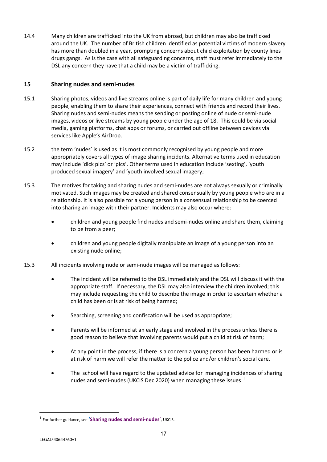14.4 Many children are trafficked into the UK from abroad, but children may also be trafficked around the UK. The number of British children identified as potential victims of modern slavery has more than doubled in a year, prompting concerns about child exploitation by county lines drugs gangs. As is the case with all safeguarding concerns, staff must refer immediately to the DSL any concern they have that a child may be a victim of trafficking.

#### **15 Sharing nudes and semi-nudes**

- 15.1 Sharing photos, videos and live streams online is part of daily life for many children and young people, enabling them to share their experiences, connect with friends and record their lives. Sharing nudes and semi-nudes means the sending or posting online of nude or semi-nude images, videos or live streams by young people under the age of 18. This could be via social media, gaming platforms, chat apps or forums, or carried out offline between devices via services like Apple's AirDrop.
- 15.2 the term 'nudes' is used as it is most commonly recognised by young people and more appropriately covers all types of image sharing incidents. Alternative terms used in education may include 'dick pics' or 'pics'. Other terms used in education include 'sexting', 'youth produced sexual imagery' and 'youth involved sexual imagery;
- 15.3 The motives for taking and sharing nudes and semi-nudes are not always sexually or criminally motivated. Such images may be created and shared consensually by young people who are in a relationship. It is also possible for a young person in a consensual relationship to be coerced into sharing an image with their partner. Incidents may also occur where:
	- children and young people find nudes and semi-nudes online and share them, claiming to be from a peer;
	- children and young people digitally manipulate an image of a young person into an existing nude online;
- 15.3 All incidents involving nude or semi-nude images will be managed as follows:
	- The incident will be referred to the DSL immediately and the DSL will discuss it with the appropriate staff. If necessary, the DSL may also interview the children involved; this may include requesting the child to describe the image in order to ascertain whether a child has been or is at risk of being harmed;
	- Searching, screening and confiscation will be used as appropriate;
	- Parents will be informed at an early stage and involved in the process unless there is good reason to believe that involving parents would put a child at risk of harm;
	- At any point in the process, if there is a concern a young person has been harmed or is at risk of harm we will refer the matter to the police and/or children's social care.
	- The school will have regard to the updated advice for managing incidences of sharing nudes and semi-nudes (UKCIS Dec 2020) when managing these issues  $1$

<u>.</u>

<sup>1</sup> For further guidance, see **'[Sharing nudes and semi-nudes](https://assets.publishing.service.gov.uk/government/uploads/system/uploads/attachment_data/file/759009/Overview_of_Sexting_Guidance.pdf)**', UKCIS.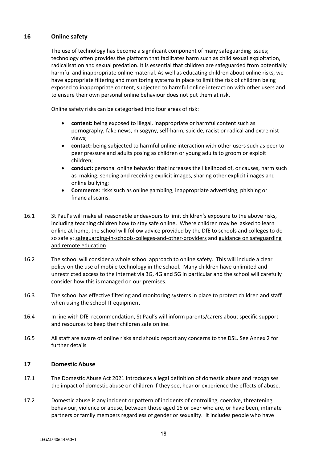## **16 Online safety**

The use of technology has become a significant component of many safeguarding issues; technology often provides the platform that facilitates harm such as child sexual exploitation, radicalisation and sexual predation. It is essential that children are safeguarded from potentially harmful and inappropriate online material. As well as educating children about online risks, we have appropriate filtering and monitoring systems in place to limit the risk of children being exposed to inappropriate content, subjected to harmful online interaction with other users and to ensure their own personal online behaviour does not put them at risk.

Online safety risks can be categorised into four areas of risk:

- **content:** being exposed to illegal, inappropriate or harmful content such as pornography, fake news, misogyny, self-harm, suicide, racist or radical and extremist views;
- **contact:** being subjected to harmful online interaction with other users such as peer to peer pressure and adults posing as children or young adults to groom or exploit children;
- **conduct:** personal online behavior that increases the likelihood of, or causes, harm such as making, sending and receiving explicit images, sharing other explicit images and online bullying;
- **Commerce:** risks such as online gambling, inappropriate advertising, phishing or financial scams.
- 16.1 St Paul's will make all reasonable endeavours to limit children's exposure to the above risks, including teaching children how to stay safe online. Where children may be asked to learn online at home, the school will follow advice provided by the DfE to schools and colleges to do so safely: safeguarding-in-schools-colleges-and-other-providers and [guidance on safeguarding](https://www.gov.uk/guidance/safeguarding-and-remote-education-during-coronavirus-covid-19)  [and remote education](https://www.gov.uk/guidance/safeguarding-and-remote-education-during-coronavirus-covid-19)
- 16.2 The school will consider a whole school approach to online safety. This will include a clear policy on the use of mobile technology in the school. Many children have unlimited and unrestricted access to the internet via 3G, 4G and 5G in particular and the school will carefully consider how this is managed on our premises.
- 16.3 The school has effective filtering and monitoring systems in place to protect children and staff when using the school IT equipment
- 16.4 In line with DfE recommendation, St Paul's will inform parents/carers about specific support and resources to keep their children safe online.
- 16.5 All staff are aware of online risks and should report any concerns to the DSL. See Annex 2 for further details

## **17 Domestic Abuse**

- 17.1 The Domestic Abuse Act 2021 introduces a legal definition of domestic abuse and recognises the impact of domestic abuse on children if they see, hear or experience the effects of abuse.
- 17.2 Domestic abuse is any incident or pattern of incidents of controlling, coercive, threatening behaviour, violence or abuse, between those aged 16 or over who are, or have been, intimate partners or family members regardless of gender or sexuality. It includes people who have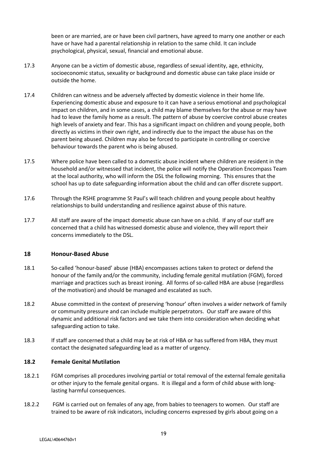been or are married, are or have been civil partners, have agreed to marry one another or each have or have had a parental relationship in relation to the same child. It can include psychological, physical, sexual, financial and emotional abuse.

- 17.3 Anyone can be a victim of domestic abuse, regardless of sexual identity, age, ethnicity, socioeconomic status, sexuality or background and domestic abuse can take place inside or outside the home.
- 17.4 Children can witness and be adversely affected by domestic violence in their home life. Experiencing domestic abuse and exposure to it can have a serious emotional and psychological impact on children, and in some cases, a child may blame themselves for the abuse or may have had to leave the family home as a result. The pattern of abuse by coercive control abuse creates high levels of anxiety and fear. This has a significant impact on children and young people, both directly as victims in their own right, and indirectly due to the impact the abuse has on the parent being abused. Children may also be forced to participate in controlling or coercive behaviour towards the parent who is being abused.
- 17.5 Where police have been called to a domestic abuse incident where children are resident in the household and/or witnessed that incident, the police will notify the Operation Encompass Team at the local authority, who will inform the DSL the following morning. This ensures that the school has up to date safeguarding information about the child and can offer discrete support.
- 17.6 Through the RSHE programme St Paul's will teach children and young people about healthy relationships to build understanding and resilience against abuse of this nature.
- 17.7 All staff are aware of the impact domestic abuse can have on a child. If any of our staff are concerned that a child has witnessed domestic abuse and violence, they will report their concerns immediately to the DSL.

#### **18 Honour-Based Abuse**

- 18.1 So-called 'honour-based' abuse (HBA) encompasses actions taken to protect or defend the honour of the family and/or the community, including female genital mutilation (FGM), forced marriage and practices such as breast ironing. All forms of so-called HBA are abuse (regardless of the motivation) and should be managed and escalated as such.
- 18.2 Abuse committed in the context of preserving 'honour' often involves a wider network of family or community pressure and can include multiple perpetrators. Our staff are aware of this dynamic and additional risk factors and we take them into consideration when deciding what safeguarding action to take.
- 18.3 If staff are concerned that a child may be at risk of HBA or has suffered from HBA, they must contact the designated safeguarding lead as a matter of urgency.

#### **18.2 Female Genital Mutilation**

- 18.2.1 FGM comprises all procedures involving partial or total removal of the external female genitalia or other injury to the female genital organs. It is illegal and a form of child abuse with longlasting harmful consequences.
- 18.2.2 FGM is carried out on females of any age, from babies to teenagers to women. Our staff are trained to be aware of risk indicators, including concerns expressed by girls about going on a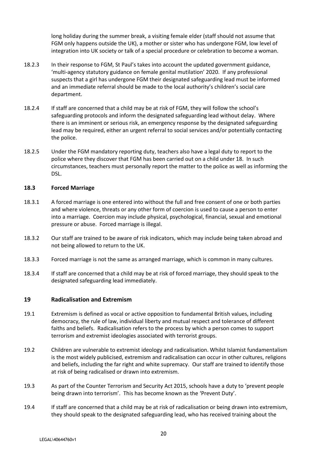long holiday during the summer break, a visiting female elder (staff should not assume that FGM only happens outside the UK), a mother or sister who has undergone FGM, low level of integration into UK society or talk of a special procedure or celebration to become a woman.

- 18.2.3 In their response to FGM, St Paul's takes into account the updated government guidance, 'multi-agency statutory guidance on female genital mutilation' 2020. If any professional suspects that a girl has undergone FGM their designated safeguarding lead must be informed and an immediate referral should be made to the local authority's children's social care department.
- 18.2.4 If staff are concerned that a child may be at risk of FGM, they will follow the school's safeguarding protocols and inform the designated safeguarding lead without delay. Where there is an imminent or serious risk, an emergency response by the designated safeguarding lead may be required, either an urgent referral to social services and/or potentially contacting the police.
- 18.2.5 Under the FGM mandatory reporting duty, teachers also have a legal duty to report to the police where they discover that FGM has been carried out on a child under 18. In such circumstances, teachers must personally report the matter to the police as well as informing the DSL.

#### **18.3 Forced Marriage**

- 18.3.1 A forced marriage is one entered into without the full and free consent of one or both parties and where violence, threats or any other form of coercion is used to cause a person to enter into a marriage. Coercion may include physical, psychological, financial, sexual and emotional pressure or abuse. Forced marriage is illegal.
- 18.3.2 Our staff are trained to be aware of risk indicators, which may include being taken abroad and not being allowed to return to the UK.
- 18.3.3 Forced marriage is not the same as arranged marriage, which is common in many cultures.
- 18.3.4 If staff are concerned that a child may be at risk of forced marriage, they should speak to the designated safeguarding lead immediately.

#### **19 Radicalisation and Extremism**

- 19.1 Extremism is defined as vocal or active opposition to fundamental British values, including democracy, the rule of law, individual liberty and mutual respect and tolerance of different faiths and beliefs. Radicalisation refers to the process by which a person comes to support terrorism and extremist ideologies associated with terrorist groups.
- 19.2 Children are vulnerable to extremist ideology and radicalisation. Whilst Islamist fundamentalism is the most widely publicised, extremism and radicalisation can occur in other cultures, religions and beliefs, including the far right and white supremacy. Our staff are trained to identify those at risk of being radicalised or drawn into extremism.
- 19.3 As part of the Counter Terrorism and Security Act 2015, schools have a duty to 'prevent people being drawn into terrorism'. This has become known as the 'Prevent Duty'.
- 19.4 If staff are concerned that a child may be at risk of radicalisation or being drawn into extremism, they should speak to the designated safeguarding lead, who has received training about the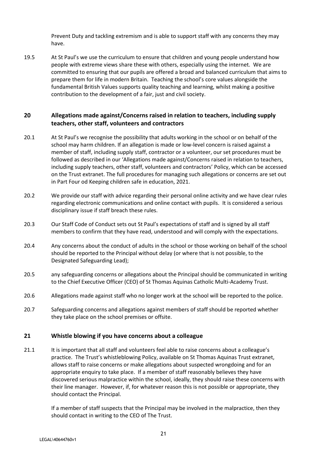Prevent Duty and tackling extremism and is able to support staff with any concerns they may have.

19.5 At St Paul's we use the curriculum to ensure that children and young people understand how people with extreme views share these with others, especially using the internet. We are committed to ensuring that our pupils are offered a broad and balanced curriculum that aims to prepare them for life in modern Britain. Teaching the school's core values alongside the fundamental British Values supports quality teaching and learning, whilst making a positive contribution to the development of a fair, just and civil society.

## **20 Allegations made against/Concerns raised in relation to teachers, including supply teachers, other staff, volunteers and contractors**

- 20.1 At St Paul's we recognise the possibility that adults working in the school or on behalf of the school may harm children. If an allegation is made or low-level concern is raised against a member of staff, including supply staff, contractor or a volunteer, our set procedures must be followed as described in our 'Allegations made against/Concerns raised in relation to teachers, including supply teachers, other staff, volunteers and contractors' Policy, which can be accessed on the Trust extranet. The full procedures for managing such allegations or concerns are set out in Part Four od Keeping children safe in education, 2021.
- 20.2 We provide our staff with advice regarding their personal online activity and we have clear rules regarding electronic communications and online contact with pupils. It is considered a serious disciplinary issue if staff breach these rules.
- 20.3 Our Staff Code of Conduct sets out St Paul's expectations of staff and is signed by all staff members to confirm that they have read, understood and will comply with the expectations.
- 20.4 Any concerns about the conduct of adults in the school or those working on behalf of the school should be reported to the Principal without delay (or where that is not possible, to the Designated Safeguarding Lead);
- 20.5 any safeguarding concerns or allegations about the Principal should be communicated in writing to the Chief Executive Officer (CEO) of St Thomas Aquinas Catholic Multi-Academy Trust.
- 20.6 Allegations made against staff who no longer work at the school will be reported to the police.
- 20.7 Safeguarding concerns and allegations against members of staff should be reported whether they take place on the school premises or offsite.

## **21 Whistle blowing if you have concerns about a colleague**

21.1 It is important that all staff and volunteers feel able to raise concerns about a colleague's practice. The Trust's whistleblowing Policy, available on St Thomas Aquinas Trust extranet, allows staff to raise concerns or make allegations about suspected wrongdoing and for an appropriate enquiry to take place. If a member of staff reasonably believes they have discovered serious malpractice within the school, ideally, they should raise these concerns with their line manager. However, if, for whatever reason this is not possible or appropriate, they should contact the Principal.

> If a member of staff suspects that the Principal may be involved in the malpractice, then they should contact in writing to the CEO of The Trust.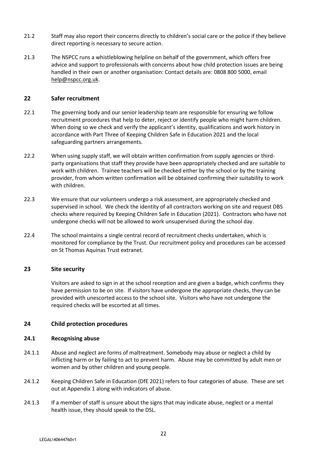- 21.2 Staff may also report their concerns directly to children's social care or the police if they believe direct reporting is necessary to secure action.
- 21.3 The NSPCC runs a whistleblowing helpline on behalf of the government, which offers free advice and support to professionals with concerns about how child protection issues are being handled in their own or another organisation: Contact details are: 0808 800 5000, email [help@nspcc.org.uk.](mailto:help@nspcc.org.uk)

#### **22 Safer recruitment**

- 22.1 The governing body and our senior leadership team are responsible for ensuring we follow recruitment procedures that help to deter, reject or identify people who might harm children. When doing so we check and verify the applicant's identity, qualifications and work history in accordance with Part Three of Keeping Children Safe in Education 2021 and the local safeguarding partners arrangements.
- 22.2 When using supply staff, we will obtain written confirmation from supply agencies or thirdparty organisations that staff they provide have been appropriately checked and are suitable to work with children. Trainee teachers will be checked either by the school or by the training provider, from whom written confirmation will be obtained confirming their suitability to work with children.
- 22.3 We ensure that our volunteers undergo a risk assessment, are appropriately checked and supervised in school. We check the identity of all contractors working on site and request DBS checks where required by Keeping Children Safe in Education (2021). Contractors who have not undergone checks will not be allowed to work unsupervised during the school day.
- 22.4 The school maintains a single central record of recruitment checks undertaken, which is monitored for compliance by the Trust. Our recruitment policy and procedures can be accessed on St Thomas Aquinas Trust extranet.

## **23 Site security**

Visitors are asked to sign in at the school reception and are given a badge, which confirms they have permission to be on site. If visitors have undergone the appropriate checks, they can be provided with unescorted access to the school site. Visitors who have not undergone the required checks will be escorted at all times.

#### **24 Child protection procedures**

#### **24.1 Recognising abuse**

- 24.1.1 Abuse and neglect are forms of maltreatment. Somebody may abuse or neglect a child by inflicting harm or by failing to act to prevent harm. Abuse may be committed by adult men or women and by other children and young people.
- 24.1.2 Keeping Children Safe in Education (DfE 2021) refers to four categories of abuse. These are set out at Appendix 1 along with indicators of abuse.
- 24.1.3 If a member of staff is unsure about the signs that may indicate abuse, neglect or a mental health issue, they should speak to the DSL.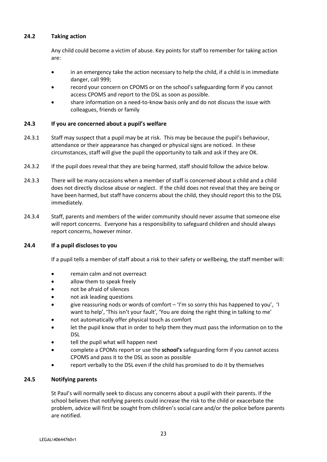#### **24.2 Taking action**

Any child could become a victim of abuse. Key points for staff to remember for taking action are:

- in an emergency take the action necessary to help the child, if a child is in immediate danger, call 999;
- record your concern on CPOMS or on the school's safeguarding form if you cannot access CPOMS and report to the DSL as soon as possible.
- share information on a need-to-know basis only and do not discuss the issue with colleagues, friends or family

## **24.3 If you are concerned about a pupil's welfare**

- 24.3.1 Staff may suspect that a pupil may be at risk. This may be because the pupil's behaviour, attendance or their appearance has changed or physical signs are noticed. In these circumstances, staff will give the pupil the opportunity to talk and ask if they are OK.
- 24.3.2 If the pupil does reveal that they are being harmed, staff should follow the advice below.
- 24.3.3 There will be many occasions when a member of staff is concerned about a child and a child does not directly disclose abuse or neglect. If the child does not reveal that they are being or have been harmed, but staff have concerns about the child, they should report this to the DSL immediately.
- 24.3.4 Staff, parents and members of the wider community should never assume that someone else will report concerns. Everyone has a responsibility to safeguard children and should always report concerns, however minor.

#### **24.4 If a pupil discloses to you**

If a pupil tells a member of staff about a risk to their safety or wellbeing, the staff member will:

- remain calm and not overreact
- allow them to speak freely
- not be afraid of silences
- not ask leading questions
- give reassuring nods or words of comfort 'I'm so sorry this has happened to you', 'I want to help', 'This isn't your fault', 'You are doing the right thing in talking to me'
- not automatically offer physical touch as comfort
- let the pupil know that in order to help them they must pass the information on to the DSL
- tell the pupil what will happen next
- complete a CPOMs report or use the **school's** safeguarding form if you cannot access CPOMS and pass it to the DSL as soon as possible
- report verbally to the DSL even if the child has promised to do it by themselves

#### **24.5 Notifying parents**

St Paul's will normally seek to discuss any concerns about a pupil with their parents. If the school believes that notifying parents could increase the risk to the child or exacerbate the problem, advice will first be sought from children's social care and/or the police before parents are notified.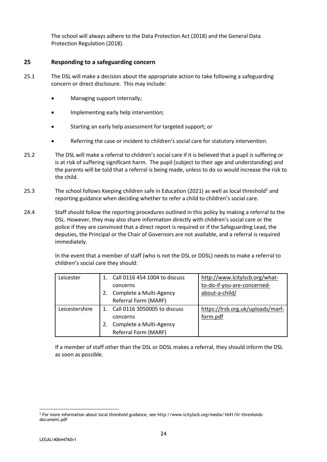The school will always adhere to the Data Protection Act (2018) and the General Data Protection Regulation (2018).

#### **25 Responding to a safeguarding concern**

- 25.1 The DSL will make a decision about the appropriate action to take following a safeguarding concern or direct disclosure. This may include:
	- Managing support internally;
	- Implementing early help intervention;
	- Starting an early help assessment for targeted support; or
	- Referring the case or incident to children's social care for statutory intervention.
- 25.2 The DSL will make a referral to children's social care if it is believed that a pupil is suffering or is at risk of suffering significant harm. The pupil (subject to their age and understanding) and the parents will be told that a referral is being made, unless to do so would increase the risk to the child.
- 25.3 The school follows Keeping children safe in Education (2021) as well as local threshold<sup>2</sup> and reporting guidance when deciding whether to refer a child to children's social care.
- 24.4 Staff should follow the reporting procedures outlined in this policy by making a referral to the DSL. However, they may also share information directly with children's social care or the police if they are convinced that a direct report is required or if the Safeguarding Lead, the deputies, the Principal or the Chair of Governors are not available, and a referral is required immediately.

In the event that a member of staff (who is not the DSL or DDSL) needs to make a referral to children's social care they should:

| Leicester      | Call 0116 454 1004 to discuss | http://www.lcitylscb.org/what-    |
|----------------|-------------------------------|-----------------------------------|
|                | concerns                      | to-do-if-you-are-concerned-       |
|                | Complete a Multi-Agency       | about-a-child/                    |
|                | Referral Form (MARF)          |                                   |
| Leicestershire | Call 0116 3050005 to discuss  | https://lrsb.org.uk/uploads/marf- |
|                |                               |                                   |
|                | concerns                      | form.pdf                          |
|                | Complete a Multi-Agency       |                                   |

If a member of staff other than the DSL or DDSL makes a referral, they should inform the DSL as soon as possible.

<sup>&</sup>lt;u>.</u> <sup>2</sup> For more information about local threshold guidance, see http://www.lcitylscb.org/media/1641/llr-thresholdsdocument.pdf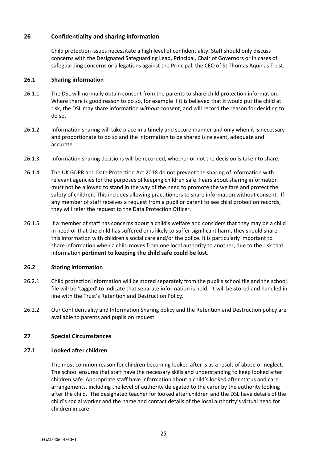## **26 Confidentiality and sharing information**

Child protection issues necessitate a high level of confidentiality. Staff should only discuss concerns with the Designated Safeguarding Lead, Principal, Chair of Governors or in cases of safeguarding concerns or allegations against the Principal, the CEO of St Thomas Aquinas Trust.

#### **26.1 Sharing information**

- 26.1.1 The DSL will normally obtain consent from the parents to share child protection information. Where there is good reason to do so, for example if it is believed that it would put the child at risk, the DSL may share information *without* consent, and will record the reason for deciding to do so.
- 26.1.2 Information sharing will take place in a timely and secure manner and only when it is necessary and proportionate to do so and the information to be shared is relevant, adequate and accurate.
- 26.1.3 Information sharing decisions will be recorded, whether or not the decision is taken to share.
- 26.1.4 The UK GDPR and Data Protection Act 2018 do not prevent the sharing of information with relevant agencies for the purposes of keeping children safe. Fears about sharing information must not be allowed to stand in the way of the need to promote the welfare and protect the safety of children. This includes allowing practitioners to share information without consent. If any member of staff receives a request from a pupil or parent to see child protection records, they will refer the request to the Data Protection Officer.
- 26.1.5 If a member of staff has concerns about a child's welfare and considers that they may be a child in need or that the child has suffered or is likely to suffer significant harm, they should share this information with children's social care and/or the police. It is particularly important to share information when a child moves from one local authority to another, due to the risk that information **pertinent to keeping the child safe could be lost.**

## **26.2 Storing information**

- 26.2.1 Child protection information will be stored separately from the pupil's school file and the school file will be 'tagged' to indicate that separate information is held. It will be stored and handled in line with the Trust's Retention and Destruction Policy.
- 26.2.2 Our Confidentiality and Information Sharing policy and the Retention and Destruction policy are available to parents and pupils on request.

## **27 Special Circumstances**

## **27.1 Looked after children**

The most common reason for children becoming looked after is as a result of abuse or neglect. The school ensures that staff have the necessary skills and understanding to keep looked after children safe. Appropriate staff have information about a child's looked after status and care arrangements, including the level of authority delegated to the carer by the authority looking after the child. The designated teacher for looked after children and the DSL have details of the child's social worker and the name and contact details of the local authority's virtual head for children in care.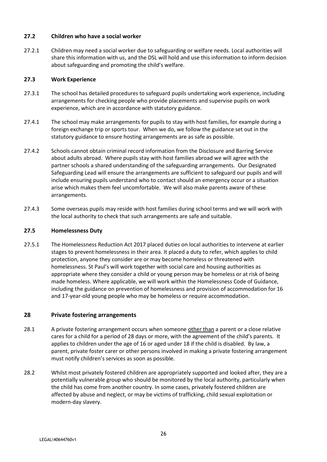#### **27.2 Children who have a social worker**

27.2.1 Children may need a social worker due to safeguarding or welfare needs. Local authorities will share this information with us, and the DSL will hold and use this information to inform decision about safeguarding and promoting the child's welfare.

#### **27.3 Work Experience**

- 27.3.1 The school has detailed procedures to safeguard pupils undertaking work experience, including arrangements for checking people who provide placements and supervise pupils on work experience, which are in accordance with statutory guidance.
- 27.4.1 The school may make arrangements for pupils to stay with host families, for example during a foreign exchange trip or sports tour. When we do, we follow the guidance set out in the statutory guidance to ensure hosting arrangements are as safe as possible.
- 27.4.2 Schools cannot obtain criminal record information from the Disclosure and Barring Service about adults abroad. Where pupils stay with host families abroad we will agree with the partner schools a shared understanding of the safeguarding arrangements. Our Designated Safeguarding Lead will ensure the arrangements are sufficient to safeguard our pupils and will include ensuring pupils understand who to contact should an emergency occur or a situation arise which makes them feel uncomfortable. We will also make parents aware of these arrangements.
- 27.4.3 Some overseas pupils may reside with host families during school terms and we will work with the local authority to check that such arrangements are safe and suitable.

#### **27.5 Homelessness Duty**

27.5.1 The Homelessness Reduction Act 2017 placed duties on local authorities to intervene at earlier stages to prevent homelessness in their area. It placed a duty to refer, which applies to child protection, anyone they consider are or may become homeless or threatened with homelessness. St Paul's will work together with social care and housing authorities as appropriate where they consider a child or young person may be homeless or at risk of being made homeless. Where applicable, we will work within the Homelessness Code of Guidance, including the guidance on prevention of homelessness and provision of accommodation for 16 and 17-year-old young people who may be homeless or require accommodation.

## **28 Private fostering arrangements**

- 28.1 A private fostering arrangement occurs when someone other than a parent or a close relative cares for a child for a period of 28 days or more, with the agreement of the child's parents. It applies to children under the age of 16 or aged under 18 if the child is disabled. By law, a parent, private foster carer or other persons involved in making a private fostering arrangement must notify children's services as soon as possible.
- 28.2 Whilst most privately fostered children are appropriately supported and looked after, they are a potentially vulnerable group who should be monitored by the local authority, particularly when the child has come from another country. In some cases, privately fostered children are affected by abuse and neglect, or may be victims of trafficking, child sexual exploitation or modern-day slavery.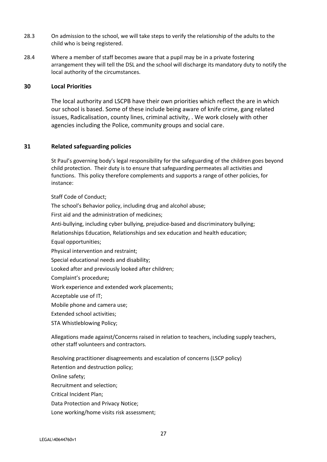- 28.3 On admission to the school, we will take steps to verify the relationship of the adults to the child who is being registered.
- 28.4 Where a member of staff becomes aware that a pupil may be in a private fostering arrangement they will tell the DSL and the school will discharge its mandatory duty to notify the local authority of the circumstances.

#### **30 Local Priorities**

The local authority and LSCPB have their own priorities which reflect the are in which our school is based. Some of these include being aware of knife crime, gang related issues, Radicalisation, county lines, criminal activity, . We work closely with other agencies including the Police, community groups and social care.

#### **31 Related safeguarding policies**

St Paul's governing body's legal responsibility for the safeguarding of the children goes beyond child protection. Their duty is to ensure that safeguarding permeates all activities and functions. This policy therefore complements and supports a range of other policies, for instance:

Staff Code of Conduct;

The school's Behavior policy, including drug and alcohol abuse;

First aid and the administration of medicines;

Anti-bullying, including cyber bullying, prejudice-based and discriminatory bullying;

Relationships Education, Relationships and sex education and health education;

Equal opportunities;

Physical intervention and restraint;

Special educational needs and disability;

Looked after and previously looked after children;

Complaint's procedure**;**

Work experience and extended work placements;

Acceptable use of IT;

Mobile phone and camera use;

Extended school activities;

STA Whistleblowing Policy;

Allegations made against/Concerns raised in relation to teachers, including supply teachers, other staff volunteers and contractors.

Resolving practitioner disagreements and escalation of concerns (LSCP policy)

Retention and destruction policy;

Online safety;

Recruitment and selection;

Critical Incident Plan;

Data Protection and Privacy Notice;

Lone working/home visits risk assessment;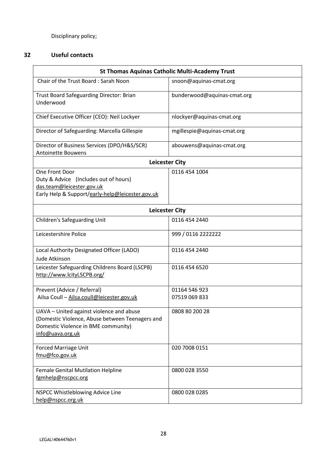Disciplinary policy;

## **32 Useful contacts**

| <b>St Thomas Aquinas Catholic Multi-Academy Trust</b>                                                                                                  |                             |  |  |  |  |
|--------------------------------------------------------------------------------------------------------------------------------------------------------|-----------------------------|--|--|--|--|
| Chair of the Trust Board: Sarah Noon                                                                                                                   | snoon@aquinas-cmat.org      |  |  |  |  |
| Trust Board Safeguarding Director: Brian<br>Underwood                                                                                                  | bunderwood@aquinas-cmat.org |  |  |  |  |
| Chief Executive Officer (CEO): Neil Lockyer                                                                                                            | nlockyer@aquinas-cmat.org   |  |  |  |  |
| Director of Safeguarding: Marcella Gillespie                                                                                                           | mgillespie@aquinas-cmat.org |  |  |  |  |
| Director of Business Services (DPO/H&S/SCR)<br><b>Antoinette Bouwens</b>                                                                               | abouwens@aquinas-cmat.org   |  |  |  |  |
| <b>Leicester City</b>                                                                                                                                  |                             |  |  |  |  |
| One Front Door<br>Duty & Advice (Includes out of hours)<br>das.team@leicester.gov.uk<br>Early Help & Support/early-help@leicester.gov.uk               | 0116 454 1004               |  |  |  |  |
| <b>Leicester City</b>                                                                                                                                  |                             |  |  |  |  |
| <b>Children's Safeguarding Unit</b>                                                                                                                    | 0116 454 2440               |  |  |  |  |
| Leicestershire Police                                                                                                                                  | 999 / 0116 2222222          |  |  |  |  |
| Local Authority Designated Officer (LADO)<br>Jude Atkinson                                                                                             | 0116 454 2440               |  |  |  |  |
| Leicester Safeguarding Childrens Board (LSCPB)<br>http://www.lcityLSCPB.org/                                                                           | 0116 454 6520               |  |  |  |  |
| Prevent (Advice / Referral)                                                                                                                            | 01164 546 923               |  |  |  |  |
| Ailsa Coull - Ailsa.coull@leicester.gov.uk                                                                                                             | 07519 069 833               |  |  |  |  |
| UAVA - United against violence and abuse<br>(Domestic Violence, Abuse between Teenagers and<br>Domestic Violence in BME community)<br>info@uava.org.uk | 0808 80 200 28              |  |  |  |  |
| <b>Forced Marriage Unit</b><br>fmu@fco.gov.uk                                                                                                          | 020 7008 0151               |  |  |  |  |
| <b>Female Genital Mutilation Helpline</b><br>fgmhelp@nscpcc.org                                                                                        | 0800 028 3550               |  |  |  |  |
| NSPCC Whistleblowing Advice Line<br>help@nspcc.org.uk                                                                                                  | 0800 028 0285               |  |  |  |  |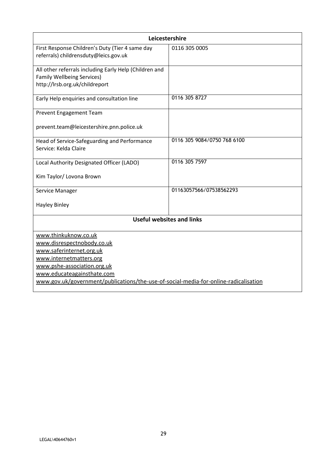| Leicestershire                                                                                                                |                             |  |  |  |  |
|-------------------------------------------------------------------------------------------------------------------------------|-----------------------------|--|--|--|--|
| First Response Children's Duty (Tier 4 same day<br>referrals) childrensduty@leics.gov.uk                                      | 0116 305 0005               |  |  |  |  |
| All other referrals including Early Help (Children and<br><b>Family Wellbeing Services)</b><br>http://lrsb.org.uk/childreport |                             |  |  |  |  |
| Early Help enquiries and consultation line                                                                                    | 0116 305 8727               |  |  |  |  |
| <b>Prevent Engagement Team</b>                                                                                                |                             |  |  |  |  |
| prevent.team@leicestershire.pnn.police.uk                                                                                     |                             |  |  |  |  |
| Head of Service-Safeguarding and Performance<br>Service: Kelda Claire                                                         | 0116 305 9084/0750 768 6100 |  |  |  |  |
| Local Authority Designated Officer (LADO)                                                                                     | 0116 305 7597               |  |  |  |  |
| Kim Taylor/ Lovona Brown                                                                                                      |                             |  |  |  |  |
| Service Manager                                                                                                               | 01163057566/07538562293     |  |  |  |  |
| <b>Hayley Binley</b>                                                                                                          |                             |  |  |  |  |
| <b>Useful websites and links</b>                                                                                              |                             |  |  |  |  |
| www.thinkuknow.co.uk                                                                                                          |                             |  |  |  |  |
| www.disrespectnobody.co.uk                                                                                                    |                             |  |  |  |  |
| www.saferinternet.org.uk                                                                                                      |                             |  |  |  |  |
| www.internetmatters.org                                                                                                       |                             |  |  |  |  |
| www.pshe-association.org.uk                                                                                                   |                             |  |  |  |  |
| www.educateagainsthate.com<br>www.gov.uk/government/publications/the-use-of-social-media-for-online-radicalisation            |                             |  |  |  |  |
|                                                                                                                               |                             |  |  |  |  |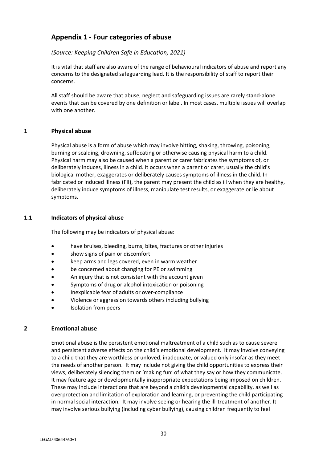# **Appendix 1 - Four categories of abuse**

## *(Source: Keeping Children Safe in Education, 2021)*

It is vital that staff are also aware of the range of behavioural indicators of abuse and report any concerns to the designated safeguarding lead. It is the responsibility of staff to report their concerns.

All staff should be aware that abuse, neglect and safeguarding issues are rarely stand-alone events that can be covered by one definition or label. In most cases, multiple issues will overlap with one another.

## **1 Physical abuse**

Physical abuse is a form of abuse which may involve hitting, shaking, throwing, poisoning, burning or scalding, drowning, suffocating or otherwise causing physical harm to a child. Physical harm may also be caused when a parent or carer fabricates the symptoms of, or deliberately induces, illness in a child. It occurs when a parent or carer, usually the child's biological mother, exaggerates or deliberately causes symptoms of illness in the child. In fabricated or induced illness (FII), the parent may present the child as ill when they are healthy, deliberately induce symptoms of illness, manipulate test results, or exaggerate or lie about symptoms.

## **1.1 Indicators of physical abuse**

The following may be indicators of physical abuse:

- have bruises, bleeding, burns, bites, fractures or other injuries
- show signs of pain or discomfort
- keep arms and legs covered, even in warm weather
- be concerned about changing for PE or swimming
- An injury that is not consistent with the account given
- Symptoms of drug or alcohol intoxication or poisoning
- Inexplicable fear of adults or over-compliance
- Violence or aggression towards others including bullying
- Isolation from peers

## **2 Emotional abuse**

Emotional abuse is the persistent emotional maltreatment of a child such as to cause severe and persistent adverse effects on the child's emotional development. It may involve conveying to a child that they are worthless or unloved, inadequate, or valued only insofar as they meet the needs of another person. It may include not giving the child opportunities to express their views, deliberately silencing them or 'making fun' of what they say or how they communicate. It may feature age or developmentally inappropriate expectations being imposed on children. These may include interactions that are beyond a child's developmental capability, as well as overprotection and limitation of exploration and learning, or preventing the child participating in normal social interaction. It may involve seeing or hearing the ill-treatment of another. It may involve serious bullying (including cyber bullying), causing children frequently to feel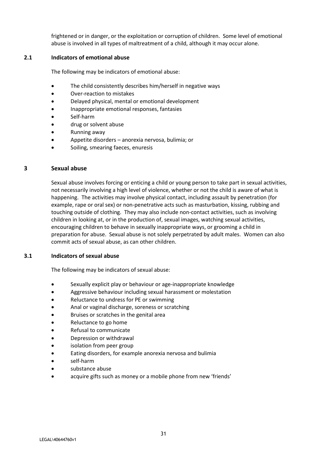frightened or in danger, or the exploitation or corruption of children. Some level of emotional abuse is involved in all types of maltreatment of a child, although it may occur alone.

#### **2.1 Indicators of emotional abuse**

The following may be indicators of emotional abuse:

- The child consistently describes him/herself in negative ways
- Over-reaction to mistakes
- Delayed physical, mental or emotional development
- Inappropriate emotional responses, fantasies
- Self-harm
- drug or solvent abuse
- Running away
- Appetite disorders anorexia nervosa, bulimia; or
- Soiling, smearing faeces, enuresis

## **3 Sexual abuse**

Sexual abuse involves forcing or enticing a child or young person to take part in sexual activities, not necessarily involving a high level of violence, whether or not the child is aware of what is happening. The activities may involve physical contact, including assault by penetration (for example, rape or oral sex) or non-penetrative acts such as masturbation, kissing, rubbing and touching outside of clothing. They may also include non-contact activities, such as involving children in looking at, or in the production of, sexual images, watching sexual activities, encouraging children to behave in sexually inappropriate ways, or grooming a child in preparation for abuse. Sexual abuse is not solely perpetrated by adult males. Women can also commit acts of sexual abuse, as can other children.

## **3.1 Indicators of sexual abuse**

The following may be indicators of sexual abuse:

- Sexually explicit play or behaviour or age-inappropriate knowledge
- Aggressive behaviour including sexual harassment or molestation
- Reluctance to undress for PE or swimming
- Anal or vaginal discharge, soreness or scratching
- Bruises or scratches in the genital area
- Reluctance to go home
- Refusal to communicate
- Depression or withdrawal
- isolation from peer group
- Eating disorders, for example anorexia nervosa and bulimia
- self-harm
- substance abuse
- acquire gifts such as money or a mobile phone from new 'friends'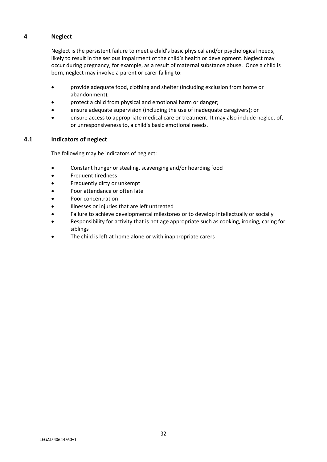## **4 Neglect**

Neglect is the persistent failure to meet a child's basic physical and/or psychological needs, likely to result in the serious impairment of the child's health or development. Neglect may occur during pregnancy, for example, as a result of maternal substance abuse. Once a child is born, neglect may involve a parent or carer failing to:

- provide adequate food, clothing and shelter (including exclusion from home or abandonment);
- protect a child from physical and emotional harm or danger;
- ensure adequate supervision (including the use of inadequate caregivers); or
- ensure access to appropriate medical care or treatment. It may also include neglect of, or unresponsiveness to, a child's basic emotional needs.

#### **4.1 Indicators of neglect**

The following may be indicators of neglect:

- Constant hunger or stealing, scavenging and/or hoarding food
- Frequent tiredness
- Frequently dirty or unkempt
- Poor attendance or often late
- Poor concentration
- Illnesses or injuries that are left untreated
- Failure to achieve developmental milestones or to develop intellectually or socially
- Responsibility for activity that is not age appropriate such as cooking, ironing, caring for siblings
- The child is left at home alone or with inappropriate carers